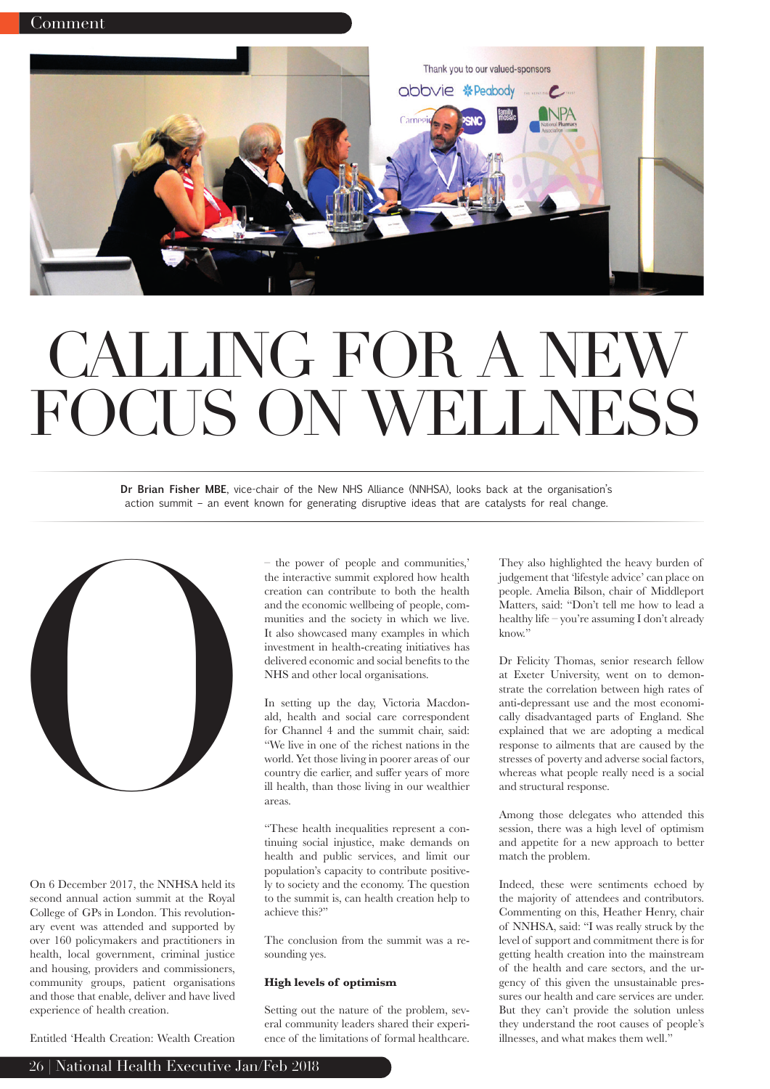

# CALLING FOR A NEW FOCUS ON WELLNESS

**Dr Brian Fisher MBE**, vice-chair of the New NHS Alliance (NNHSA), looks back at the organisation's action summit – an event known for generating disruptive ideas that are catalysts for real change.



On 6 December 2017, the NNHSA held its second annual action summit at the Royal College of GPs in London. This revolutionary event was attended and supported by over 160 policymakers and practitioners in health, local government, criminal justice and housing, providers and commissioners, community groups, patient organisations and those that enable, deliver and have lived experience of health creation.

– the power of people and communities,' the interactive summit explored how health creation can contribute to both the health and the economic wellbeing of people, communities and the society in which we live. It also showcased many examples in which investment in health-creating initiatives has delivered economic and social benefits to the NHS and other local organisations.

In setting up the day, Victoria Macdonald, health and social care correspondent for Channel 4 and the summit chair, said: "We live in one of the richest nations in the world. Yet those living in poorer areas of our country die earlier, and suffer years of more ill health, than those living in our wealthier areas.

"These health inequalities represent a continuing social injustice, make demands on health and public services, and limit our population's capacity to contribute positively to society and the economy. The question to the summit is, can health creation help to achieve this?"

The conclusion from the summit was a resounding yes.

## **High levels of optimism**

Setting out the nature of the problem, several community leaders shared their experience of the limitations of formal healthcare.

They also highlighted the heavy burden of judgement that 'lifestyle advice' can place on people. Amelia Bilson, chair of Middleport Matters, said: "Don't tell me how to lead a healthy life – you're assuming I don't already know."

Dr Felicity Thomas, senior research fellow at Exeter University, went on to demonstrate the correlation between high rates of anti-depressant use and the most economically disadvantaged parts of England. She explained that we are adopting a medical response to ailments that are caused by the stresses of poverty and adverse social factors, whereas what people really need is a social and structural response.

Among those delegates who attended this session, there was a high level of optimism and appetite for a new approach to better match the problem.

Indeed, these were sentiments echoed by the majority of attendees and contributors. Commenting on this, Heather Henry, chair of NNHSA, said: "I was really struck by the level of support and commitment there is for getting health creation into the mainstream of the health and care sectors, and the urgency of this given the unsustainable pressures our health and care services are under. But they can't provide the solution unless they understand the root causes of people's illnesses, and what makes them well."

Entitled 'Health Creation: Wealth Creation